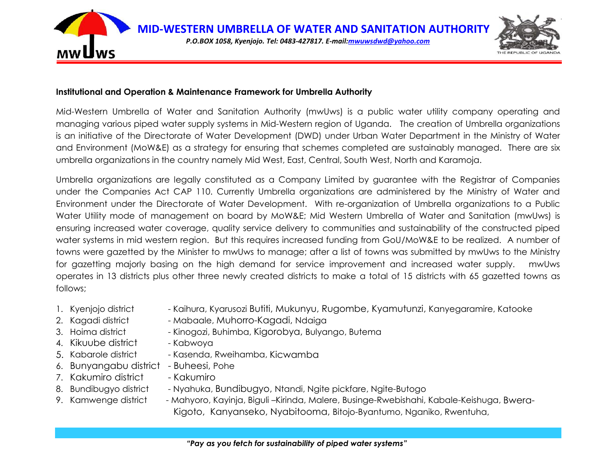

#### **Institutional and Operation & Maintenance Framework for Umbrella Authority**

Mid-Western Umbrella of Water and Sanitation Authority (mwUws) is a public water utility company operating and managing various piped water supply systems in Mid-Western region of Uganda. The creation of Umbrella organizations is an initiative of the Directorate of Water Development (DWD) under Urban Water Department in the Ministry of Water and Environment (MoW&E) as a strategy for ensuring that schemes completed are sustainably managed. There are six umbrella organizations in the country namely Mid West, East, Central, South West, North and Karamoja.

Umbrella organizations are legally constituted as a Company Limited by guarantee with the Registrar of Companies under the Companies Act CAP 110. Currently Umbrella organizations are administered by the Ministry of Water and Environment under the Directorate of Water Development. With re-organization of Umbrella organizations to a Public Water Utility mode of management on board by MoW&E; Mid Western Umbrella of Water and Sanitation (mwUws) is ensuring increased water coverage, quality service delivery to communities and sustainability of the constructed piped water systems in mid western region. But this requires increased funding from GoU/MoW&E to be realized. A number of towns were gazetted by the Minister to mwUws to manage; after a list of towns was submitted by mwUws to the Ministry for gazetting majorly basing on the high demand for service improvement and increased water supply. mwUws operates in 13 districts plus other three newly created districts to make a total of 15 districts with 65 gazetted towns as follows;

- 1. Kyenjojo district Kaihura, Kyarusozi Butiti, Mukunyu, Rugombe, Kyamutunzi, Kanyegaramire, Katooke
- 
- 2. Kagadi district Mabaale, Muhorro-Kagadi, Ndaiga
- 
- 4. Kikuube district Kabwoya
- 5. Kabarole district Kasenda, Rweihamba, Kicwamba
- 6. Bunyangabu district Buheesi, Pohe
- 7. Kakumiro district Kakumiro
- 
- 
- 3. Hoima district Kinogozi, Buhimba, Kigorobya, Bulyango, Butema
	-
	- -
	- -
- 8. Bundibugyo district Nyahuka, Bundibugyo, Ntandi, Ngite pickfare, Ngite-Butogo
- 9. Kamwenge district Mahyoro, Kayinja, Biguli –Kirinda, Malere, Businge-Rwebishahi, Kabale-Keishuga, Bwera-Kigoto, Kanyanseko, Nyabitooma, Bitojo-Byantumo, Nganiko, Rwentuha,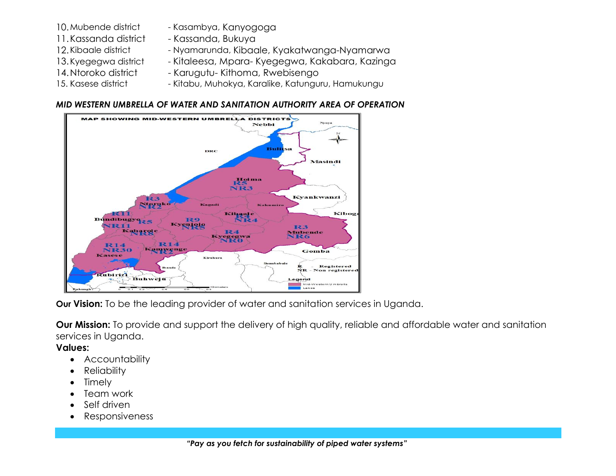- 
- 11. Kassanda district Kassanda, Bukuya
- 
- 
- 
- 
- 10. Mubende district Kasambya, Kanyogoga
	-
- 12. Kibaale district Nyamarunda, Kibaale, Kyakatwanga-Nyamarwa
- 13. Kyegegwa district Kitaleesa, Mpara- Kyegegwa, Kakabara, Kazinga
- 14. Ntoroko district Karugutu- Kithoma, Rwebisengo
- 15. Kasese district Kitabu, Muhokya, Karalike, Katunguru, Hamukungu

### *MID WESTERN UMBRELLA OF WATER AND SANITATION AUTHORITY AREA OF OPERATION*



**Our Vision:** To be the leading provider of water and sanitation services in Uganda.

**Our Mission:** To provide and support the delivery of high quality, reliable and affordable water and sanitation services in Uganda.

**Values:**

- Accountability
- Reliability
- Timely
- Team work
- Self driven
- Responsiveness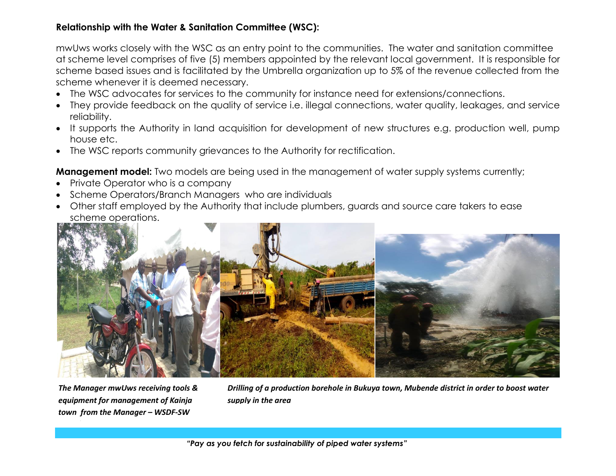# **Relationship with the Water & Sanitation Committee (WSC):**

mwUws works closely with the WSC as an entry point to the communities. The water and sanitation committee at scheme level comprises of five (5) members appointed by the relevant local government. It is responsible for scheme based issues and is facilitated by the Umbrella organization up to 5% of the revenue collected from the scheme whenever it is deemed necessary.

- The WSC advocates for services to the community for instance need for extensions/connections.
- They provide feedback on the quality of service i.e. illegal connections, water quality, leakages, and service reliability.
- It supports the Authority in land acquisition for development of new structures e.g. production well, pump house etc.
- The WSC reports community grievances to the Authority for rectification.

**Management model:** Two models are being used in the management of water supply systems currently;

- Private Operator who is a company
- Scheme Operators/Branch Managers who are individuals
- Other staff employed by the Authority that include plumbers, guards and source care takers to ease scheme operations.



*The Manager mwUws receiving tools & equipment for management of Kainja town from the Manager – WSDF-SW* 

*Branch.*

*Drilling of a production borehole in Bukuya town, Mubende district in order to boost water supply in the area*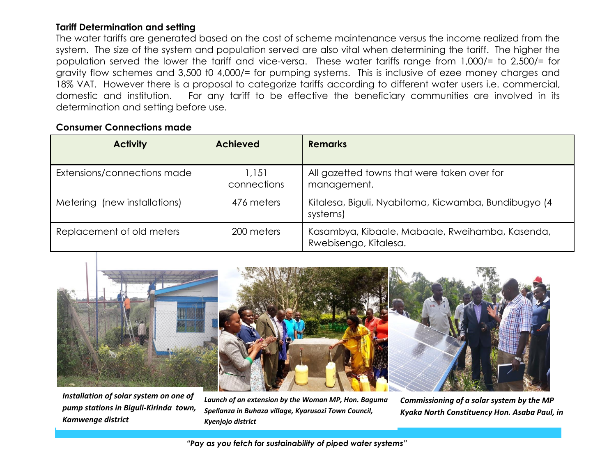## **Tariff Determination and setting**

The water tariffs are generated based on the cost of scheme maintenance versus the income realized from the system. The size of the system and population served are also vital when determining the tariff. The higher the population served the lower the tariff and vice-versa. These water tariffs range from 1,000/= to 2,500/= for gravity flow schemes and 3,500 t0 4,000/= for pumping systems. This is inclusive of ezee money charges and 18% VAT. However there is a proposal to categorize tariffs according to different water users i.e. commercial, domestic and institution. For any tariff to be effective the beneficiary communities are involved in its determination and setting before use.

### **Consumer Connections made**

| <b>Activity</b>              | <b>Achieved</b>      | <b>Remarks</b>                                                           |
|------------------------------|----------------------|--------------------------------------------------------------------------|
| Extensions/connections made  | 1,151<br>connections | All gazetted towns that were taken over for<br>management.               |
| Metering (new installations) | 476 meters           | Kitalesa, Biguli, Nyabitoma, Kicwamba, Bundibugyo (4<br>systems)         |
| Replacement of old meters    | 200 meters           | Kasambya, Kibaale, Mabaale, Rweihamba, Kasenda,<br>Rwebisengo, Kitalesa. |



*Installation of solar system on one of pump stations in Biguli-Kirinda town, Kamwenge district* 

*Launch of an extension by the Woman MP, Hon. Baguma Spellanza in Buhaza village, Kyarusozi Town Council, Kyenjojo district*

*Commissioning of a solar system by the MP Kyaka North Constituency Hon. Asaba Paul, in* 

*Kitalesa town*

 *"Pay as you fetch for sustainability of piped water systems"*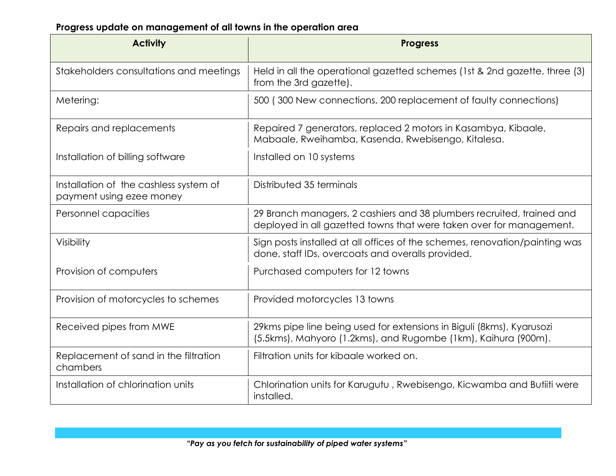# **Progress update on management of all towns in the operation area**

| <b>Activity</b>                                                    | <b>Progress</b>                                                                                                                              |
|--------------------------------------------------------------------|----------------------------------------------------------------------------------------------------------------------------------------------|
| Stakeholders consultations and meetings                            | Held in all the operational gazetted schemes (1st & 2nd gazette, three (3)<br>from the 3rd gazette).                                         |
| Metering:                                                          | 500 (300 New connections, 200 replacement of faulty connections)                                                                             |
| Repairs and replacements                                           | Repaired 7 generators, replaced 2 motors in Kasambya, Kibaale,<br>Mabaale, Rweihamba, Kasenda, Rwebisengo, Kitalesa.                         |
| Installation of billing software                                   | Installed on 10 systems                                                                                                                      |
| Installation of the cashless system of<br>payment using ezee money | Distributed 35 terminals                                                                                                                     |
| Personnel capacities                                               | 29 Branch managers, 2 cashiers and 38 plumbers recruited, trained and<br>deployed in all gazetted towns that were taken over for management. |
| Visibility                                                         | Sign posts installed at all offices of the schemes, renovation/painting was<br>done, staff IDs, overcoats and overalls provided.             |
| Provision of computers                                             | Purchased computers for 12 towns                                                                                                             |
| Provision of motorcycles to schemes                                | Provided motorcycles 13 towns                                                                                                                |
| Received pipes from MWE                                            | 29kms pipe line being used for extensions in Biguli (8kms), Kyarusozi<br>(5.5kms), Mahyoro (1.2kms), and Rugombe (1km), Kaihura (900m).      |
| Replacement of sand in the filtration<br>chambers                  | Filtration units for kibaale worked on.                                                                                                      |
| Installation of chlorination units                                 | Chlorination units for Karugutu, Rwebisengo, Kicwamba and Butiiti were<br>installed.                                                         |